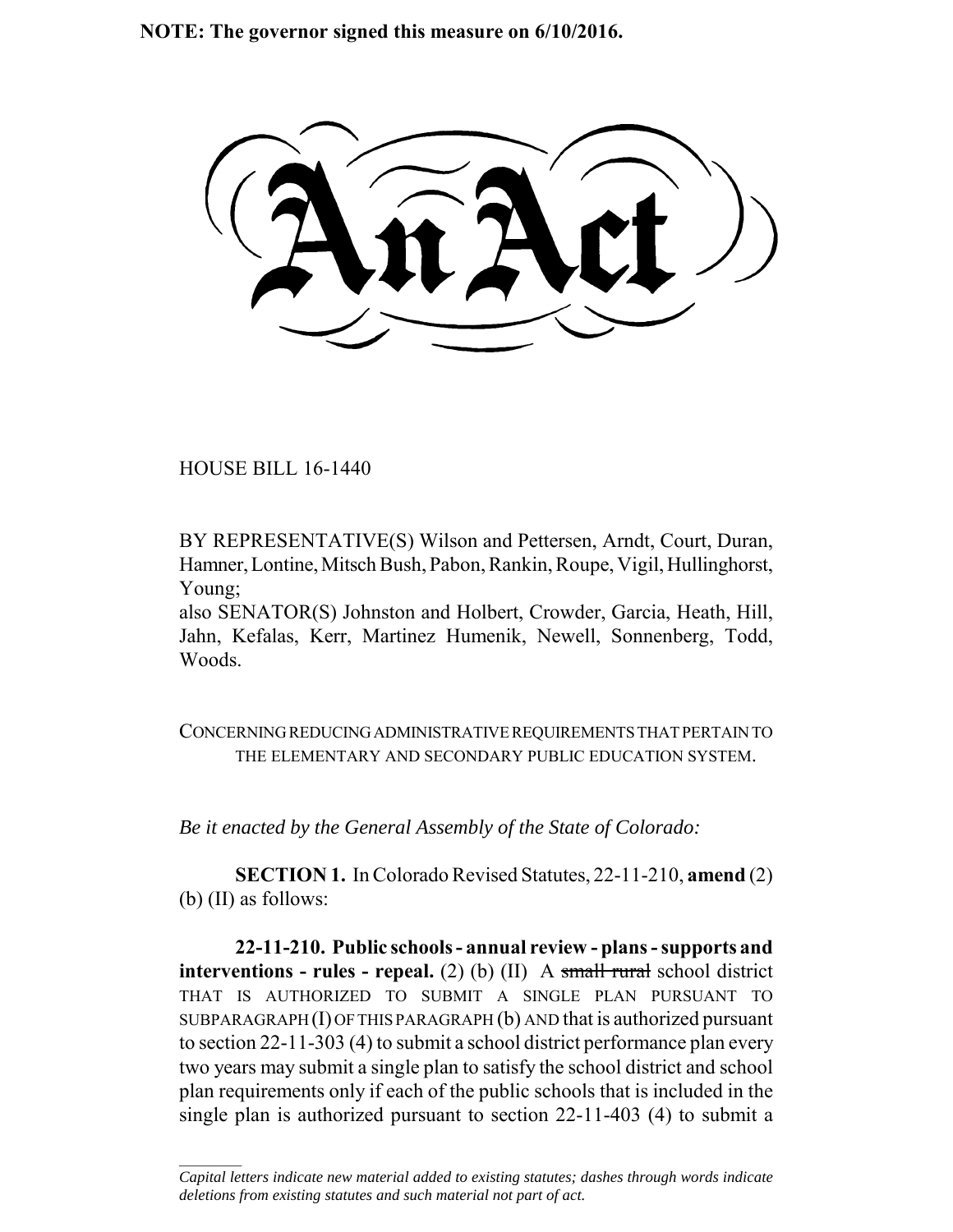**NOTE: The governor signed this measure on 6/10/2016.**

HOUSE BILL 16-1440

 $\frac{1}{2}$ 

BY REPRESENTATIVE(S) Wilson and Pettersen, Arndt, Court, Duran, Hamner, Lontine, Mitsch Bush, Pabon, Rankin, Roupe, Vigil, Hullinghorst, Young;

also SENATOR(S) Johnston and Holbert, Crowder, Garcia, Heath, Hill, Jahn, Kefalas, Kerr, Martinez Humenik, Newell, Sonnenberg, Todd, Woods.

CONCERNING REDUCING ADMINISTRATIVE REQUIREMENTS THAT PERTAIN TO THE ELEMENTARY AND SECONDARY PUBLIC EDUCATION SYSTEM.

*Be it enacted by the General Assembly of the State of Colorado:*

**SECTION 1.** In Colorado Revised Statutes, 22-11-210, **amend** (2) (b) (II) as follows:

**22-11-210. Public schools - annual review - plans - supports and interventions - rules - repeal.** (2) (b) (II) A small rural school district THAT IS AUTHORIZED TO SUBMIT A SINGLE PLAN PURSUANT TO SUBPARAGRAPH $(I)$  OF THIS PARAGRAPH $(b)$  AND that is authorized pursuant to section 22-11-303 (4) to submit a school district performance plan every two years may submit a single plan to satisfy the school district and school plan requirements only if each of the public schools that is included in the single plan is authorized pursuant to section 22-11-403 (4) to submit a

*Capital letters indicate new material added to existing statutes; dashes through words indicate deletions from existing statutes and such material not part of act.*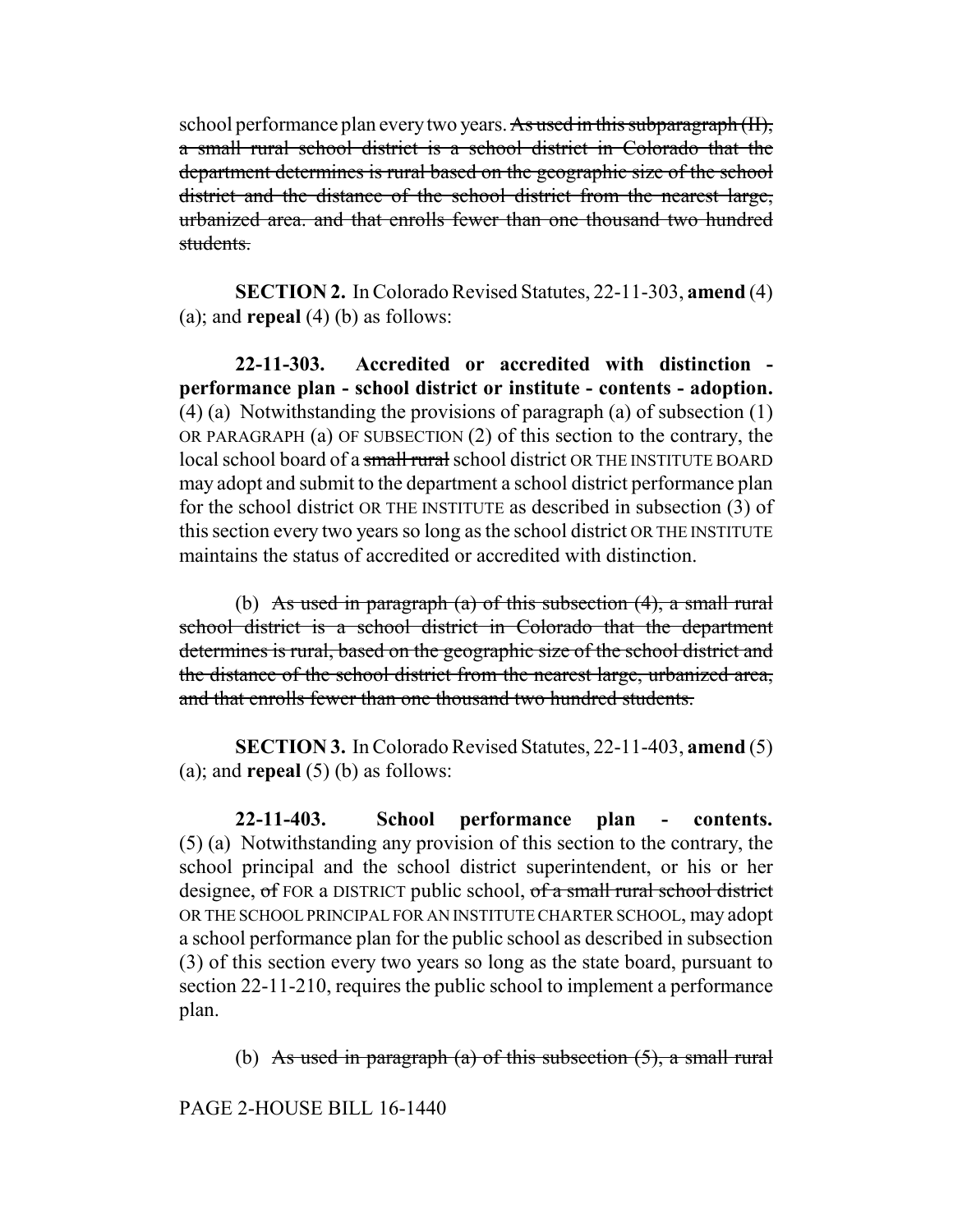school performance plan every two years. As used in this subparagraph (II), a small rural school district is a school district in Colorado that the department determines is rural based on the geographic size of the school district and the distance of the school district from the nearest large, urbanized area. and that enrolls fewer than one thousand two hundred students.

**SECTION 2.** In Colorado Revised Statutes, 22-11-303, **amend** (4) (a); and **repeal** (4) (b) as follows:

**22-11-303. Accredited or accredited with distinction performance plan - school district or institute - contents - adoption.** (4) (a) Notwithstanding the provisions of paragraph (a) of subsection (1) OR PARAGRAPH (a) OF SUBSECTION (2) of this section to the contrary, the local school board of a small rural school district OR THE INSTITUTE BOARD may adopt and submit to the department a school district performance plan for the school district OR THE INSTITUTE as described in subsection (3) of this section every two years so long as the school district OR THE INSTITUTE maintains the status of accredited or accredited with distinction.

(b) As used in paragraph (a) of this subsection  $(4)$ , a small rural school district is a school district in Colorado that the department determines is rural, based on the geographic size of the school district and the distance of the school district from the nearest large, urbanized area, and that enrolls fewer than one thousand two hundred students.

**SECTION 3.** In Colorado Revised Statutes, 22-11-403, **amend** (5) (a); and **repeal**  $(5)$  (b) as follows:

**22-11-403. School performance plan - contents.** (5) (a) Notwithstanding any provision of this section to the contrary, the school principal and the school district superintendent, or his or her designee, of FOR a DISTRICT public school, of a small rural school district OR THE SCHOOL PRINCIPAL FOR AN INSTITUTE CHARTER SCHOOL, may adopt a school performance plan for the public school as described in subsection (3) of this section every two years so long as the state board, pursuant to section 22-11-210, requires the public school to implement a performance plan.

(b) As used in paragraph (a) of this subsection  $(5)$ , a small rural

PAGE 2-HOUSE BILL 16-1440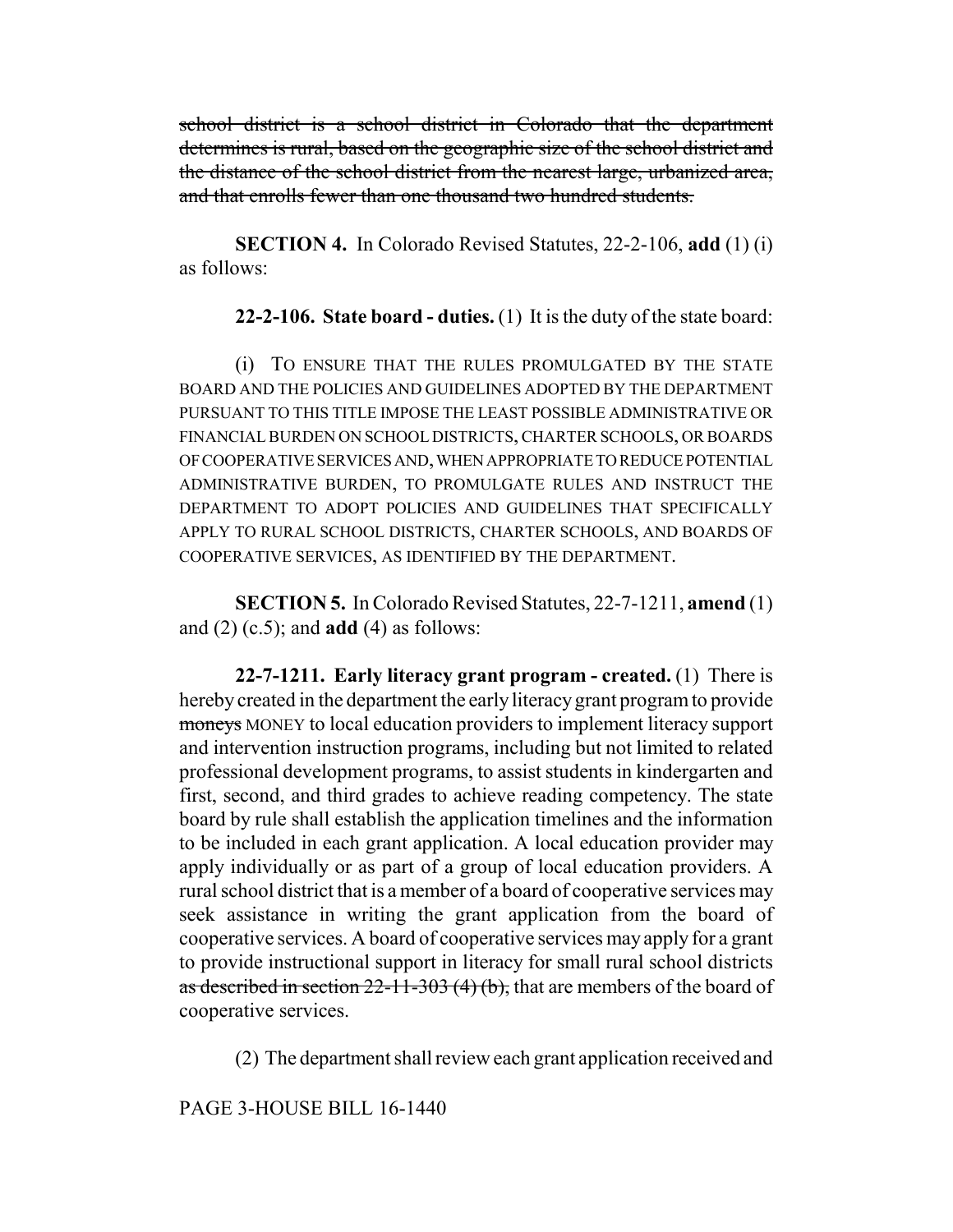school district is a school district in Colorado that the department determines is rural, based on the geographic size of the school district and the distance of the school district from the nearest large, urbanized area, and that enrolls fewer than one thousand two hundred students.

**SECTION 4.** In Colorado Revised Statutes, 22-2-106, **add** (1) (i) as follows:

**22-2-106. State board - duties.** (1) It is the duty of the state board:

(i) TO ENSURE THAT THE RULES PROMULGATED BY THE STATE BOARD AND THE POLICIES AND GUIDELINES ADOPTED BY THE DEPARTMENT PURSUANT TO THIS TITLE IMPOSE THE LEAST POSSIBLE ADMINISTRATIVE OR FINANCIAL BURDEN ON SCHOOL DISTRICTS, CHARTER SCHOOLS, OR BOARDS OF COOPERATIVE SERVICES AND, WHEN APPROPRIATE TO REDUCE POTENTIAL ADMINISTRATIVE BURDEN, TO PROMULGATE RULES AND INSTRUCT THE DEPARTMENT TO ADOPT POLICIES AND GUIDELINES THAT SPECIFICALLY APPLY TO RURAL SCHOOL DISTRICTS, CHARTER SCHOOLS, AND BOARDS OF COOPERATIVE SERVICES, AS IDENTIFIED BY THE DEPARTMENT.

**SECTION 5.** In Colorado Revised Statutes, 22-7-1211, **amend** (1) and (2) (c.5); and **add** (4) as follows:

**22-7-1211. Early literacy grant program - created.** (1) There is hereby created in the department the early literacy grant program to provide moneys MONEY to local education providers to implement literacy support and intervention instruction programs, including but not limited to related professional development programs, to assist students in kindergarten and first, second, and third grades to achieve reading competency. The state board by rule shall establish the application timelines and the information to be included in each grant application. A local education provider may apply individually or as part of a group of local education providers. A rural school district that is a member of a board of cooperative services may seek assistance in writing the grant application from the board of cooperative services. A board of cooperative services may apply for a grant to provide instructional support in literacy for small rural school districts as described in section  $22-11-303$  (4) (b), that are members of the board of cooperative services.

(2) The department shall review each grant application received and

PAGE 3-HOUSE BILL 16-1440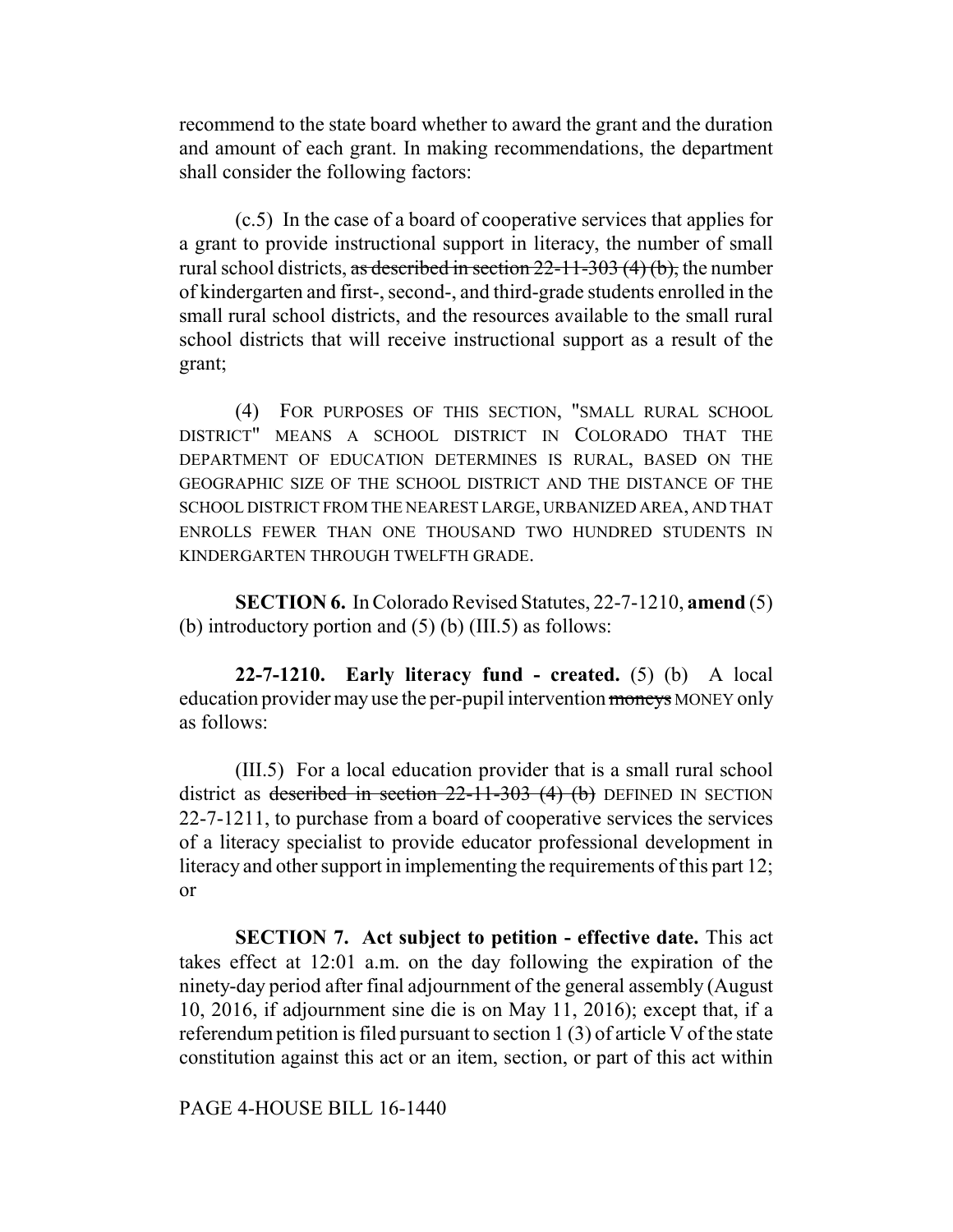recommend to the state board whether to award the grant and the duration and amount of each grant. In making recommendations, the department shall consider the following factors:

(c.5) In the case of a board of cooperative services that applies for a grant to provide instructional support in literacy, the number of small rural school districts, as described in section  $22-11-303(4)(b)$ , the number of kindergarten and first-, second-, and third-grade students enrolled in the small rural school districts, and the resources available to the small rural school districts that will receive instructional support as a result of the grant;

(4) FOR PURPOSES OF THIS SECTION, "SMALL RURAL SCHOOL DISTRICT" MEANS A SCHOOL DISTRICT IN COLORADO THAT THE DEPARTMENT OF EDUCATION DETERMINES IS RURAL, BASED ON THE GEOGRAPHIC SIZE OF THE SCHOOL DISTRICT AND THE DISTANCE OF THE SCHOOL DISTRICT FROM THE NEAREST LARGE, URBANIZED AREA, AND THAT ENROLLS FEWER THAN ONE THOUSAND TWO HUNDRED STUDENTS IN KINDERGARTEN THROUGH TWELFTH GRADE.

**SECTION 6.** In Colorado Revised Statutes, 22-7-1210, **amend** (5) (b) introductory portion and (5) (b) (III.5) as follows:

**22-7-1210. Early literacy fund - created.** (5) (b) A local education provider may use the per-pupil intervention moneys MONEY only as follows:

(III.5) For a local education provider that is a small rural school district as described in section  $22-11-303$  (4) (b) DEFINED IN SECTION 22-7-1211, to purchase from a board of cooperative services the services of a literacy specialist to provide educator professional development in literacy and other support in implementing the requirements of this part 12; or

**SECTION 7. Act subject to petition - effective date.** This act takes effect at 12:01 a.m. on the day following the expiration of the ninety-day period after final adjournment of the general assembly (August 10, 2016, if adjournment sine die is on May 11, 2016); except that, if a referendum petition is filed pursuant to section 1 (3) of article V of the state constitution against this act or an item, section, or part of this act within

PAGE 4-HOUSE BILL 16-1440